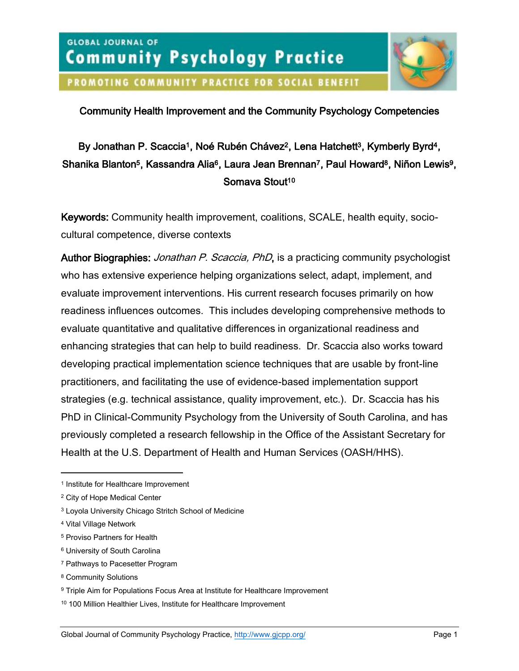

PROMOTING COMMUNITY PRACTICE FOR SOCIAL BENEFIT

# Community Health Improvement and the Community Psychology Competencies

# By Jonathan P. Scaccia<sup>1</sup>, Noé Rubén Chávez<sup>2</sup>, Lena Hatchett<sup>3</sup>, Kymberly Byrd<sup>4</sup>, Shanika Blanton<sup>5</sup>, Kassandra Alia<sup>6</sup>, Laura Jean Brennan<sup>7</sup>, Paul Howard<sup>8</sup>, Niñon Lewis<sup>9</sup>, Somava Stout<sup>10</sup>

Keywords: Community health improvement, coalitions, SCALE, health equity, sociocultural competence, diverse contexts

Author Biographies: *Jonathan P. Scaccia, PhD*, is a practicing community psychologist who has extensive experience helping organizations select, adapt, implement, and evaluate improvement interventions. His current research focuses primarily on how readiness influences outcomes. This includes developing comprehensive methods to evaluate quantitative and qualitative differences in organizational readiness and enhancing strategies that can help to build readiness. Dr. Scaccia also works toward developing practical implementation science techniques that are usable by front-line practitioners, and facilitating the use of evidence-based implementation support strategies (e.g. technical assistance, quality improvement, etc.). Dr. Scaccia has his PhD in Clinical-Community Psychology from the University of South Carolina, and has previously completed a research fellowship in the Office of the Assistant Secretary for Health at the U.S. Department of Health and Human Services (OASH/HHS).

 $\overline{a}$ 

<sup>7</sup> Pathways to Pacesetter Program

<sup>1</sup> Institute for Healthcare Improvement

<sup>2</sup> City of Hope Medical Center

<sup>3</sup> Loyola University Chicago Stritch School of Medicine

<sup>4</sup> Vital Village Network

<sup>5</sup> Proviso Partners for Health

<sup>6</sup> University of South Carolina

<sup>8</sup> Community Solutions

<sup>9</sup> Triple Aim for Populations Focus Area at Institute for Healthcare Improvement

<sup>10</sup> 100 Million Healthier Lives, Institute for Healthcare Improvement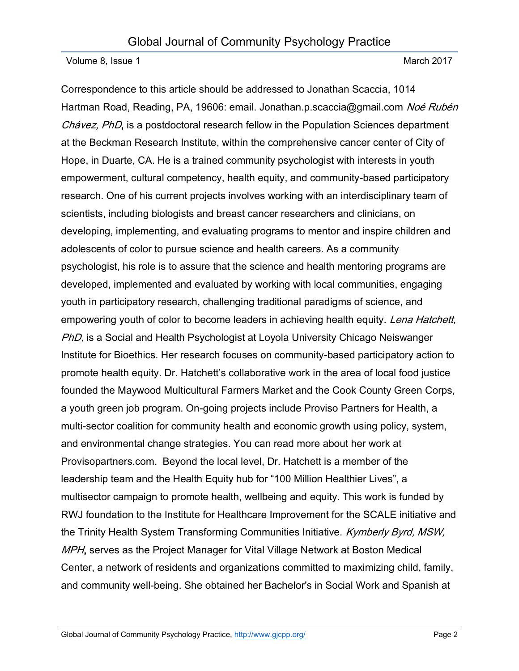Correspondence to this article should be addressed to Jonathan Scaccia, 1014 Hartman Road, Reading, PA, 19606: email. Jonathan.p.scaccia@gmail.com Noé Rubén Chávez, PhD, is a postdoctoral research fellow in the Population Sciences department at the Beckman Research Institute, within the comprehensive cancer center of City of Hope, in Duarte, CA. He is a trained community psychologist with interests in youth empowerment, cultural competency, health equity, and community-based participatory research. One of his current projects involves working with an interdisciplinary team of scientists, including biologists and breast cancer researchers and clinicians, on developing, implementing, and evaluating programs to mentor and inspire children and adolescents of color to pursue science and health careers. As a community psychologist, his role is to assure that the science and health mentoring programs are developed, implemented and evaluated by working with local communities, engaging youth in participatory research, challenging traditional paradigms of science, and empowering youth of color to become leaders in achieving health equity. Lena Hatchett, PhD, is a Social and Health Psychologist at Loyola University Chicago Neiswanger Institute for Bioethics. Her research focuses on community-based participatory action to promote health equity. Dr. Hatchett's collaborative work in the area of local food justice founded the Maywood Multicultural Farmers Market and the Cook County Green Corps, a youth green job program. On-going projects include Proviso Partners for Health, a multi-sector coalition for community health and economic growth using policy, system, and environmental change strategies. You can read more about her work at Provisopartners.com. Beyond the local level, Dr. Hatchett is a member of the leadership team and the Health Equity hub for "100 Million Healthier Lives", a multisector campaign to promote health, wellbeing and equity. This work is funded by RWJ foundation to the Institute for Healthcare Improvement for the SCALE initiative and the Trinity Health System Transforming Communities Initiative. Kymberly Byrd, MSW, MPH, serves as the Project Manager for Vital Village Network at Boston Medical Center, a network of residents and organizations committed to maximizing child, family, and community well-being. She obtained her Bachelor's in Social Work and Spanish at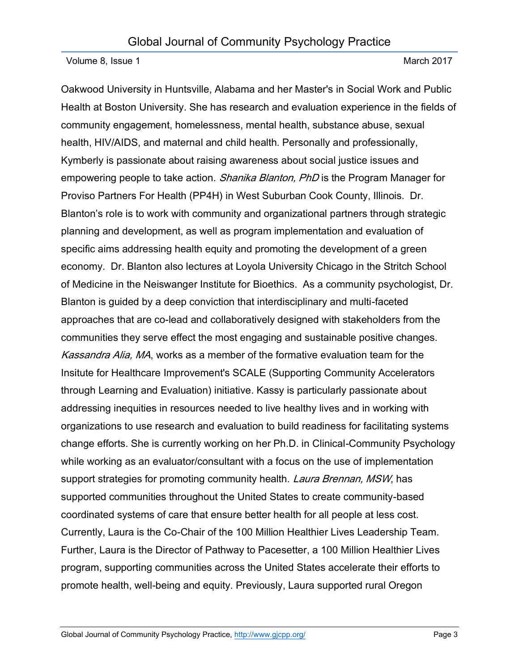Oakwood University in Huntsville, Alabama and her Master's in Social Work and Public Health at Boston University. She has research and evaluation experience in the fields of community engagement, homelessness, mental health, substance abuse, sexual health, HIV/AIDS, and maternal and child health. Personally and professionally, Kymberly is passionate about raising awareness about social justice issues and empowering people to take action. *Shanika Blanton, PhD* is the Program Manager for Proviso Partners For Health (PP4H) in West Suburban Cook County, Illinois. Dr. Blanton's role is to work with community and organizational partners through strategic planning and development, as well as program implementation and evaluation of specific aims addressing health equity and promoting the development of a green economy. Dr. Blanton also lectures at Loyola University Chicago in the Stritch School of Medicine in the Neiswanger Institute for Bioethics. As a community psychologist, Dr. Blanton is guided by a deep conviction that interdisciplinary and multi-faceted approaches that are co-lead and collaboratively designed with stakeholders from the communities they serve effect the most engaging and sustainable positive changes. Kassandra Alia, MA, works as a member of the formative evaluation team for the Insitute for Healthcare Improvement's SCALE (Supporting Community Accelerators through Learning and Evaluation) initiative. Kassy is particularly passionate about addressing inequities in resources needed to live healthy lives and in working with organizations to use research and evaluation to build readiness for facilitating systems change efforts. She is currently working on her Ph.D. in Clinical-Community Psychology while working as an evaluator/consultant with a focus on the use of implementation support strategies for promoting community health. *Laura Brennan, MSW*, has supported communities throughout the United States to create community-based coordinated systems of care that ensure better health for all people at less cost. Currently, Laura is the Co-Chair of the 100 Million Healthier Lives Leadership Team. Further, Laura is the Director of Pathway to Pacesetter, a 100 Million Healthier Lives program, supporting communities across the United States accelerate their efforts to promote health, well-being and equity. Previously, Laura supported rural Oregon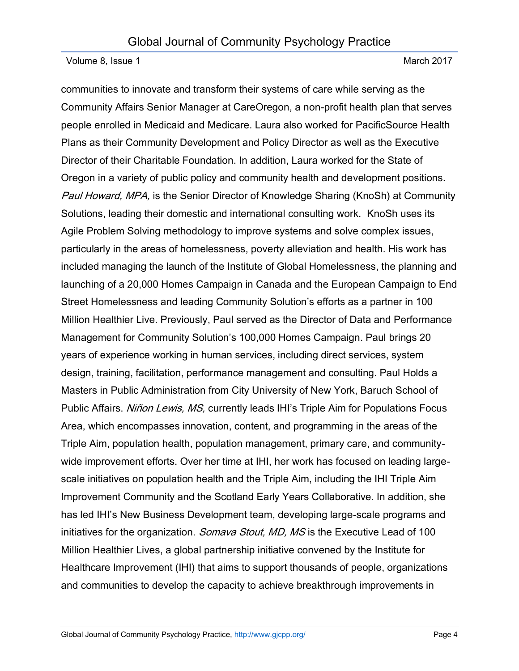communities to innovate and transform their systems of care while serving as the Community Affairs Senior Manager at CareOregon, a non-profit health plan that serves people enrolled in Medicaid and Medicare. Laura also worked for PacificSource Health Plans as their Community Development and Policy Director as well as the Executive Director of their Charitable Foundation. In addition, Laura worked for the State of Oregon in a variety of public policy and community health and development positions. Paul Howard, MPA, is the Senior Director of Knowledge Sharing (KnoSh) at Community Solutions, leading their domestic and international consulting work. KnoSh uses its Agile Problem Solving methodology to improve systems and solve complex issues, particularly in the areas of homelessness, poverty alleviation and health. His work has included managing the launch of the Institute of Global Homelessness, the planning and launching of a 20,000 Homes Campaign in Canada and the European Campaign to End Street Homelessness and leading Community Solution's efforts as a partner in 100 Million Healthier Live. Previously, Paul served as the Director of Data and Performance Management for Community Solution's 100,000 Homes Campaign. Paul brings 20 years of experience working in human services, including direct services, system design, training, facilitation, performance management and consulting. Paul Holds a Masters in Public Administration from City University of New York, Baruch School of Public Affairs. Niñon Lewis, MS, currently leads IHI's Triple Aim for Populations Focus Area, which encompasses innovation, content, and programming in the areas of the Triple Aim, population health, population management, primary care, and communitywide improvement efforts. Over her time at IHI, her work has focused on leading largescale initiatives on population health and the Triple Aim, including the IHI Triple Aim Improvement Community and the Scotland Early Years Collaborative. In addition, she has led IHI's New Business Development team, developing large-scale programs and initiatives for the organization. *Somava Stout, MD, MS* is the Executive Lead of 100 Million Healthier Lives, a global partnership initiative convened by the Institute for Healthcare Improvement (IHI) that aims to support thousands of people, organizations and communities to develop the capacity to achieve breakthrough improvements in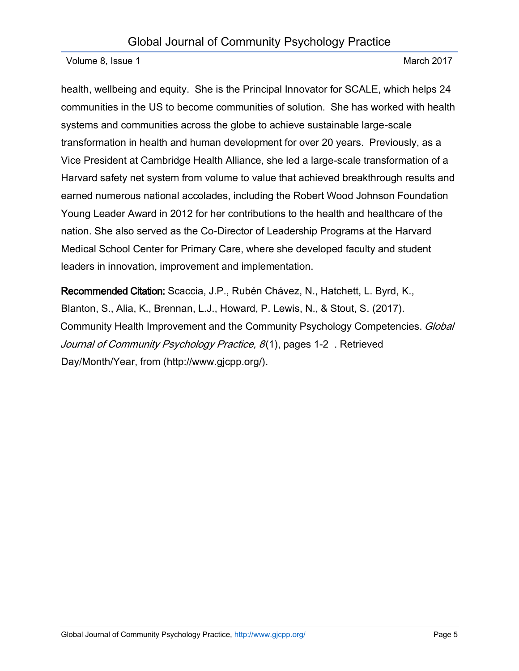health, wellbeing and equity. She is the Principal Innovator for SCALE, which helps 24 communities in the US to become communities of solution. She has worked with health systems and communities across the globe to achieve sustainable large-scale transformation in health and human development for over 20 years. Previously, as a Vice President at Cambridge Health Alliance, she led a large-scale transformation of a Harvard safety net system from volume to value that achieved breakthrough results and earned numerous national accolades, including the Robert Wood Johnson Foundation Young Leader Award in 2012 for her contributions to the health and healthcare of the nation. She also served as the Co-Director of Leadership Programs at the Harvard Medical School Center for Primary Care, where she developed faculty and student leaders in innovation, improvement and implementation.

Recommended Citation: Scaccia, J.P., Rubén Chávez, N., Hatchett, L. Byrd, K., Blanton, S., Alia, K., Brennan, L.J., Howard, P. Lewis, N., & Stout, S. (2017). Community Health Improvement and the Community Psychology Competencies. Global Journal of Community Psychology Practice, 8(1), pages 1-25. Retrieved Day/Month/Year, from [\(http://www.gjcpp.org/\)](http://www.gjcpp.org/).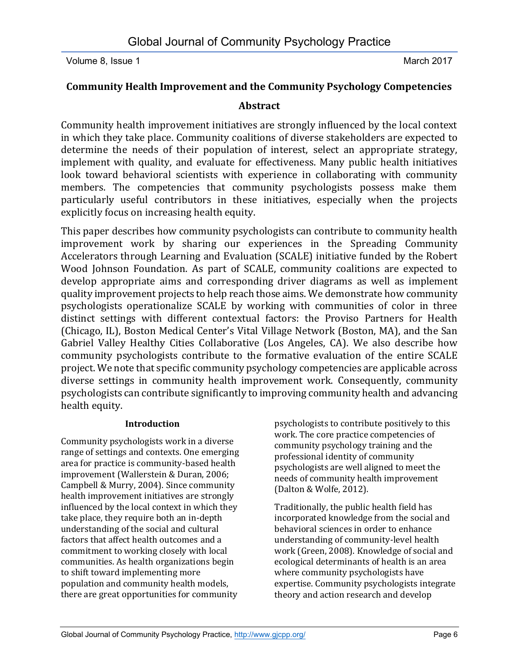# **Community Health Improvement and the Community Psychology Competencies**

# **Abstract**

Community health improvement initiatives are strongly influenced by the local context in which they take place. Community coalitions of diverse stakeholders are expected to determine the needs of their population of interest, select an appropriate strategy, implement with quality, and evaluate for effectiveness. Many public health initiatives look toward behavioral scientists with experience in collaborating with community members. The competencies that community psychologists possess make them particularly useful contributors in these initiatives, especially when the projects explicitly focus on increasing health equity.

This paper describes how community psychologists can contribute to community health improvement work by sharing our experiences in the Spreading Community Accelerators through Learning and Evaluation (SCALE) initiative funded by the Robert Wood Johnson Foundation. As part of SCALE, community coalitions are expected to develop appropriate aims and corresponding driver diagrams as well as implement quality improvement projects to help reach those aims. We demonstrate how community psychologists operationalize SCALE by working with communities of color in three distinct settings with different contextual factors: the Proviso Partners for Health (Chicago, IL), Boston Medical Center's Vital Village Network (Boston, MA), and the San Gabriel Valley Healthy Cities Collaborative (Los Angeles, CA). We also describe how community psychologists contribute to the formative evaluation of the entire SCALE project. We note that specific community psychology competencies are applicable across diverse settings in community health improvement work. Consequently, community psychologists can contribute significantly to improving community health and advancing health equity.

#### **Introduction**

Community psychologists work in a diverse range of settings and contexts. One emerging area for practice is community-based health improvement (Wallerstein & Duran, 2006; Campbell & Murry, 2004). Since community health improvement initiatives are strongly influenced by the local context in which they take place, they require both an in-depth understanding of the social and cultural factors that affect health outcomes and a commitment to working closely with local communities. As health organizations begin to shift toward implementing more population and community health models, there are great opportunities for community

psychologists to contribute positively to this work. The core practice competencies of community psychology training and the professional identity of community psychologists are well aligned to meet the needs of community health improvement (Dalton & Wolfe, 2012).

Traditionally, the public health field has incorporated knowledge from the social and behavioral sciences in order to enhance understanding of community-level health work (Green, 2008). Knowledge of social and ecological determinants of health is an area where community psychologists have expertise. Community psychologists integrate theory and action research and develop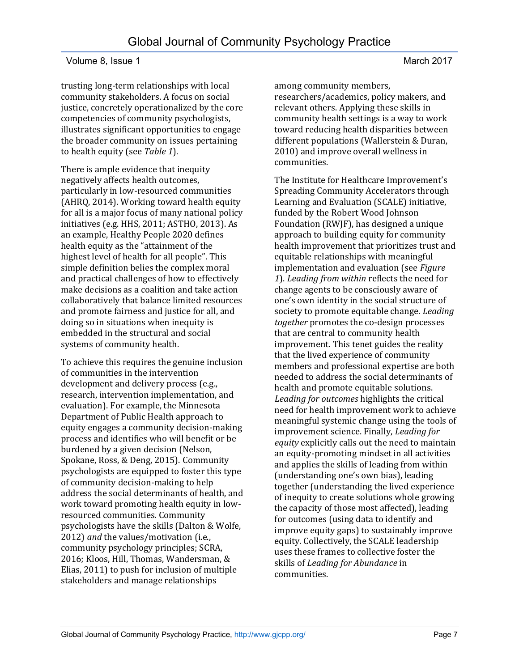trusting long-term relationships with local community stakeholders. A focus on social justice, concretely operationalized by the core competencies of community psychologists, illustrates significant opportunities to engage the broader community on issues pertaining to health equity (see *Table 1*).

There is ample evidence that inequity negatively affects health outcomes, particularly in low-resourced communities (AHRQ, 2014). Working toward health equity for all is a major focus of many national policy initiatives (e.g. HHS, 2011; ASTHO, 2013). As an example, Healthy People 2020 defines health equity as the "attainment of the highest level of health for all people". This simple definition belies the complex moral and practical challenges of how to effectively make decisions as a coalition and take action collaboratively that balance limited resources and promote fairness and justice for all, and doing so in situations when inequity is embedded in the structural and social systems of community health.

To achieve this requires the genuine inclusion of communities in the intervention development and delivery process (e.g., research, intervention implementation, and evaluation). For example, the Minnesota Department of Public Health approach to equity engages a community decision-making process and identifies who will benefit or be burdened by a given decision (Nelson, Spokane, Ross, & Deng, 2015). Community psychologists are equipped to foster this type of community decision-making to help address the social determinants of health, and work toward promoting health equity in lowresourced communities. Community psychologists have the skills (Dalton & Wolfe, 2012) *and* the values/motivation (i.e., community psychology principles; SCRA, 2016; Kloos, Hill, Thomas, Wandersman, & Elias, 2011) to push for inclusion of multiple stakeholders and manage relationships

among community members, researchers/academics, policy makers, and relevant others. Applying these skills in community health settings is a way to work toward reducing health disparities between different populations (Wallerstein & Duran, 2010) and improve overall wellness in communities.

The Institute for Healthcare Improvement's Spreading Community Accelerators through Learning and Evaluation (SCALE) initiative, funded by the Robert Wood Johnson Foundation (RWJF), has designed a unique approach to building equity for community health improvement that prioritizes trust and equitable relationships with meaningful implementation and evaluation (see *Figure 1*). *Leading from within* reflects the need for change agents to be consciously aware of one's own identity in the social structure of society to promote equitable change. *Leading together* promotes the co-design processes that are central to community health improvement. This tenet guides the reality that the lived experience of community members and professional expertise are both needed to address the social determinants of health and promote equitable solutions. *Leading for outcomes* highlights the critical need for health improvement work to achieve meaningful systemic change using the tools of improvement science. Finally, *Leading for equity* explicitly calls out the need to maintain an equity-promoting mindset in all activities and applies the skills of leading from within (understanding one's own bias), leading together (understanding the lived experience of inequity to create solutions whole growing the capacity of those most affected), leading for outcomes (using data to identify and improve equity gaps) to sustainably improve equity. Collectively, the SCALE leadership uses these frames to collective foster the skills of *Leading for Abundance* in communities.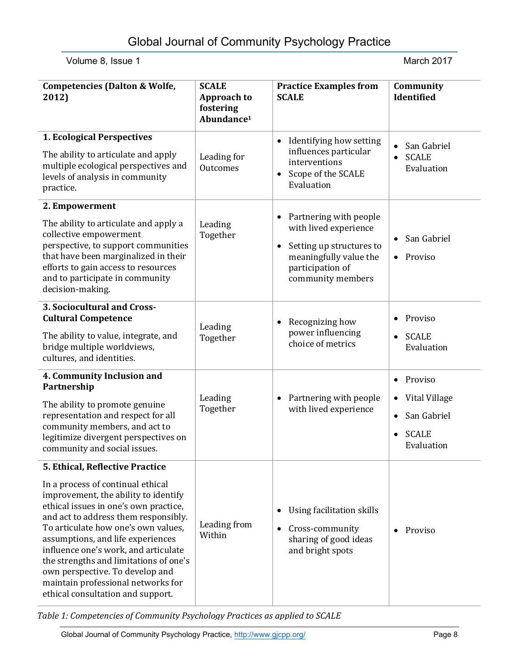| <b>Competencies (Dalton &amp; Wolfe,</b><br>2012)                                                                                                                                                                                                                                                                                                                                                                                                                         | <b>SCALE</b><br><b>Approach to</b><br>fostering<br>Abundance <sup>1</sup> | <b>Practice Examples from</b><br><b>SCALE</b>                                                                                                            | Community<br>Identified                                                                                                   |
|---------------------------------------------------------------------------------------------------------------------------------------------------------------------------------------------------------------------------------------------------------------------------------------------------------------------------------------------------------------------------------------------------------------------------------------------------------------------------|---------------------------------------------------------------------------|----------------------------------------------------------------------------------------------------------------------------------------------------------|---------------------------------------------------------------------------------------------------------------------------|
| 1. Ecological Perspectives<br>The ability to articulate and apply<br>multiple ecological perspectives and<br>levels of analysis in community<br>practice.                                                                                                                                                                                                                                                                                                                 | Leading for<br><b>Outcomes</b>                                            | Identifying how setting<br>$\bullet$<br>influences particular<br>interventions<br>Scope of the SCALE<br>$\bullet$<br>Evaluation                          | San Gabriel<br><b>SCALE</b><br>$\bullet$<br>Evaluation                                                                    |
| 2. Empowerment<br>The ability to articulate and apply a<br>collective empowerment<br>perspective, to support communities<br>that have been marginalized in their<br>efforts to gain access to resources<br>and to participate in community<br>decision-making.                                                                                                                                                                                                            | Leading<br>Together                                                       | Partnering with people<br>٠<br>with lived experience<br>Setting up structures to<br>٠<br>meaningfully value the<br>participation of<br>community members | San Gabriel<br>• Proviso                                                                                                  |
| 3. Sociocultural and Cross-<br><b>Cultural Competence</b><br>The ability to value, integrate, and<br>bridge multiple worldviews,<br>cultures, and identities.                                                                                                                                                                                                                                                                                                             | Leading<br>Together                                                       | Recognizing how<br>٠<br>power influencing<br>choice of metrics                                                                                           | Proviso<br><b>SCALE</b><br>$\bullet$<br>Evaluation                                                                        |
| 4. Community Inclusion and<br>Partnership<br>The ability to promote genuine<br>representation and respect for all<br>community members, and act to<br>legitimize divergent perspectives on<br>community and social issues.                                                                                                                                                                                                                                                | Leading<br>Together                                                       | Partnering with people<br>with lived experience                                                                                                          | Proviso<br>$\bullet$<br>Vital Village<br>$\bullet$<br>San Gabriel<br>$\bullet$<br><b>SCALE</b><br>$\bullet$<br>Evaluation |
| 5. Ethical, Reflective Practice<br>In a process of continual ethical<br>improvement, the ability to identify<br>ethical issues in one's own practice,<br>and act to address them responsibly.<br>To articulate how one's own values,<br>assumptions, and life experiences<br>influence one's work, and articulate<br>the strengths and limitations of one's<br>own perspective. To develop and<br>maintain professional networks for<br>ethical consultation and support. | Leading from<br>Within                                                    | Using facilitation skills<br>٠<br>Cross-community<br>$\bullet$<br>sharing of good ideas<br>and bright spots                                              | Proviso                                                                                                                   |

*Table 1: Competencies of Community Psychology Practices as applied to SCALE*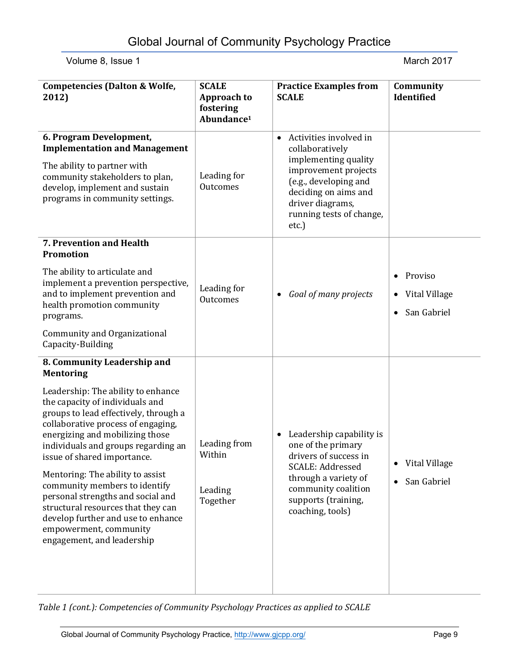| <b>Competencies (Dalton &amp; Wolfe,</b><br>2012)                                                                                                                                                                                                                                                                                                                                     | <b>SCALE</b><br><b>Approach to</b><br>fostering<br>Abundance <sup>1</sup> | <b>Practice Examples from</b><br><b>SCALE</b>                                                                                                                                                                       | Community<br>Identified                                                |
|---------------------------------------------------------------------------------------------------------------------------------------------------------------------------------------------------------------------------------------------------------------------------------------------------------------------------------------------------------------------------------------|---------------------------------------------------------------------------|---------------------------------------------------------------------------------------------------------------------------------------------------------------------------------------------------------------------|------------------------------------------------------------------------|
| 6. Program Development,<br><b>Implementation and Management</b><br>The ability to partner with<br>community stakeholders to plan,<br>develop, implement and sustain<br>programs in community settings.                                                                                                                                                                                | Leading for<br>Outcomes                                                   | Activities involved in<br>$\bullet$<br>collaboratively<br>implementing quality<br>improvement projects<br>(e.g., developing and<br>deciding on aims and<br>driver diagrams,<br>running tests of change,<br>$etc.$ ) |                                                                        |
| 7. Prevention and Health<br>Promotion                                                                                                                                                                                                                                                                                                                                                 |                                                                           |                                                                                                                                                                                                                     |                                                                        |
| The ability to articulate and<br>implement a prevention perspective,<br>and to implement prevention and<br>health promotion community<br>programs.                                                                                                                                                                                                                                    | Leading for<br>Outcomes                                                   | Goal of many projects<br>$\bullet$                                                                                                                                                                                  | Proviso<br>$\bullet$<br>Vital Village<br>٠<br>San Gabriel<br>$\bullet$ |
| Community and Organizational<br>Capacity-Building                                                                                                                                                                                                                                                                                                                                     |                                                                           |                                                                                                                                                                                                                     |                                                                        |
| 8. Community Leadership and<br><b>Mentoring</b><br>Leadership: The ability to enhance<br>the capacity of individuals and<br>groups to lead effectively, through a<br>collaborative process of engaging,<br>energizing and mobilizing those<br>individuals and groups regarding an<br>issue of shared importance.<br>Mentoring: The ability to assist<br>community members to identify | Leading from<br>Within<br>Leading<br>Together                             | Leadership capability is<br>$\bullet$<br>one of the primary<br>drivers of success in<br><b>SCALE: Addressed</b><br>through a variety of<br>community coalition<br>supports (training,<br>coaching, tools)           | Vital Village<br>San Gabriel<br>$\bullet$                              |
| personal strengths and social and<br>structural resources that they can<br>develop further and use to enhance<br>empowerment, community<br>engagement, and leadership                                                                                                                                                                                                                 |                                                                           |                                                                                                                                                                                                                     |                                                                        |

*Table 1 (cont.): Competencies of Community Psychology Practices as applied to SCALE*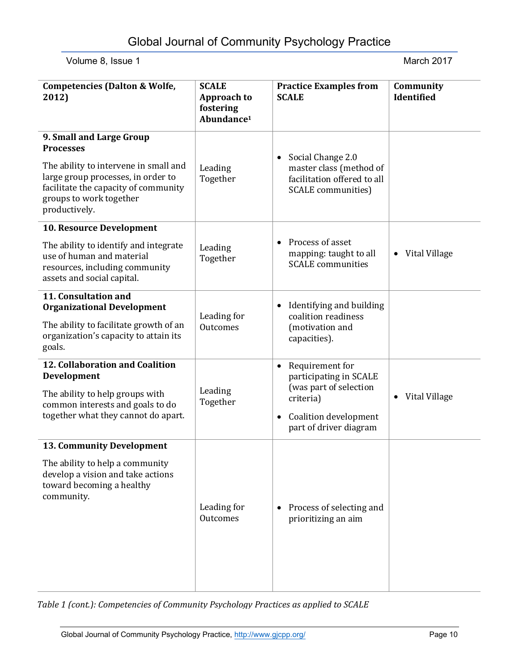| <b>Competencies (Dalton &amp; Wolfe,</b><br>2012)                                                                                                                                                               | <b>SCALE</b><br><b>Approach to</b><br>fostering<br>Abundance <sup>1</sup> | <b>Practice Examples from</b><br><b>SCALE</b>                                                                                                                 | Community<br>Identified |
|-----------------------------------------------------------------------------------------------------------------------------------------------------------------------------------------------------------------|---------------------------------------------------------------------------|---------------------------------------------------------------------------------------------------------------------------------------------------------------|-------------------------|
| 9. Small and Large Group<br><b>Processes</b><br>The ability to intervene in small and<br>large group processes, in order to<br>facilitate the capacity of community<br>groups to work together<br>productively. | Leading<br>Together                                                       | Social Change 2.0<br>$\bullet$<br>master class (method of<br>facilitation offered to all<br><b>SCALE</b> communities)                                         |                         |
| 10. Resource Development                                                                                                                                                                                        |                                                                           |                                                                                                                                                               |                         |
| The ability to identify and integrate<br>use of human and material<br>resources, including community<br>assets and social capital.                                                                              | Leading<br>Together                                                       | Process of asset<br>$\bullet$<br>mapping: taught to all<br><b>SCALE</b> communities                                                                           | Vital Village<br>٠      |
| 11. Consultation and<br><b>Organizational Development</b>                                                                                                                                                       | Leading for<br>Outcomes                                                   | Identifying and building<br>coalition readiness<br>(motivation and<br>capacities).                                                                            |                         |
| The ability to facilitate growth of an<br>organization's capacity to attain its<br>goals.                                                                                                                       |                                                                           |                                                                                                                                                               |                         |
| 12. Collaboration and Coalition<br>Development                                                                                                                                                                  | Leading<br>Together                                                       | Requirement for<br>$\bullet$<br>participating in SCALE<br>(was part of selection<br>criteria)<br>Coalition development<br>$\bullet$<br>part of driver diagram |                         |
| The ability to help groups with<br>common interests and goals to do                                                                                                                                             |                                                                           |                                                                                                                                                               | Vital Village           |
| together what they cannot do apart.                                                                                                                                                                             |                                                                           |                                                                                                                                                               |                         |
| <b>13. Community Development</b>                                                                                                                                                                                |                                                                           |                                                                                                                                                               |                         |
| The ability to help a community<br>develop a vision and take actions<br>toward becoming a healthy<br>community.                                                                                                 | Leading for<br>Outcomes                                                   | Process of selecting and<br>$\bullet$<br>prioritizing an aim                                                                                                  |                         |

*Table 1 (cont.): Competencies of Community Psychology Practices as applied to SCALE*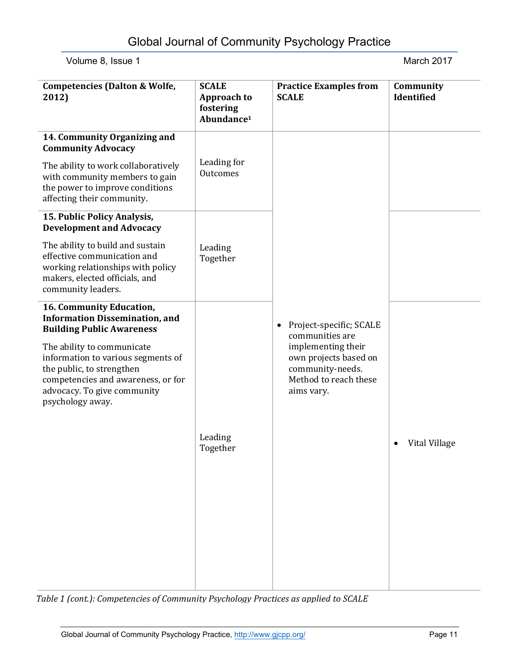| <b>Competencies (Dalton &amp; Wolfe,</b><br>2012)                                                                                                                                      | <b>SCALE</b><br><b>Approach to</b><br>fostering<br>Abundance <sup>1</sup> | <b>Practice Examples from</b><br><b>SCALE</b>                                                                                                             | Community<br>Identified |
|----------------------------------------------------------------------------------------------------------------------------------------------------------------------------------------|---------------------------------------------------------------------------|-----------------------------------------------------------------------------------------------------------------------------------------------------------|-------------------------|
| 14. Community Organizing and<br><b>Community Advocacy</b>                                                                                                                              |                                                                           |                                                                                                                                                           |                         |
| The ability to work collaboratively<br>with community members to gain<br>the power to improve conditions<br>affecting their community.                                                 | Leading for<br>Outcomes                                                   |                                                                                                                                                           |                         |
| 15. Public Policy Analysis,<br><b>Development and Advocacy</b>                                                                                                                         |                                                                           |                                                                                                                                                           |                         |
| The ability to build and sustain<br>effective communication and<br>working relationships with policy<br>makers, elected officials, and<br>community leaders.                           | Leading<br>Together                                                       | Project-specific; SCALE<br>٠<br>communities are<br>implementing their<br>own projects based on<br>community-needs.<br>Method to reach these<br>aims vary. |                         |
| 16. Community Education,<br><b>Information Dissemination, and</b><br><b>Building Public Awareness</b>                                                                                  |                                                                           |                                                                                                                                                           |                         |
| The ability to communicate<br>information to various segments of<br>the public, to strengthen<br>competencies and awareness, or for<br>advocacy. To give community<br>psychology away. |                                                                           |                                                                                                                                                           |                         |
|                                                                                                                                                                                        | Leading<br>Together                                                       |                                                                                                                                                           | Vital Village           |
|                                                                                                                                                                                        |                                                                           |                                                                                                                                                           |                         |

*Table 1 (cont.): Competencies of Community Psychology Practices as applied to SCALE*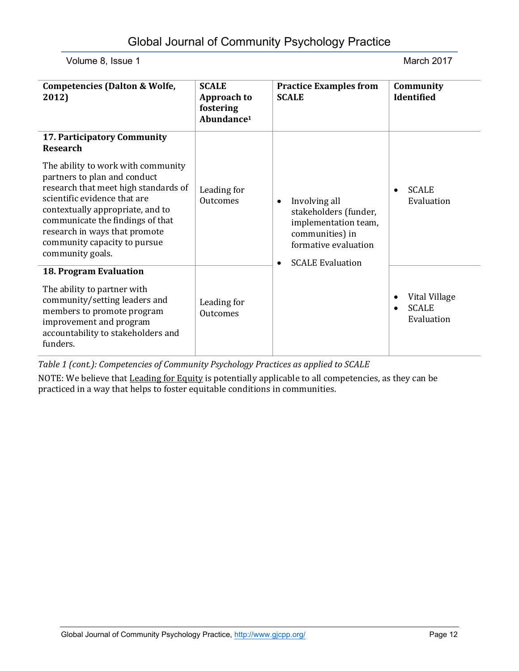| <b>Competencies (Dalton &amp; Wolfe,</b><br>2012)                                                                                                                                                                                                                                                       | <b>SCALE</b><br>Approach to<br>fostering<br>Abundance <sup>1</sup> | <b>Practice Examples from</b><br><b>SCALE</b>                                                                                                                  | Community<br>Identified                         |
|---------------------------------------------------------------------------------------------------------------------------------------------------------------------------------------------------------------------------------------------------------------------------------------------------------|--------------------------------------------------------------------|----------------------------------------------------------------------------------------------------------------------------------------------------------------|-------------------------------------------------|
| 17. Participatory Community<br><b>Research</b>                                                                                                                                                                                                                                                          |                                                                    |                                                                                                                                                                |                                                 |
| The ability to work with community<br>partners to plan and conduct<br>research that meet high standards of<br>scientific evidence that are<br>contextually appropriate, and to<br>communicate the findings of that<br>research in ways that promote<br>community capacity to pursue<br>community goals. | Leading for<br>Outcomes                                            | Involving all<br>$\bullet$<br>stakeholders (funder,<br>implementation team,<br>communities) in<br>formative evaluation<br><b>SCALE Evaluation</b><br>$\bullet$ | <b>SCALE</b><br>Evaluation                      |
| 18. Program Evaluation<br>The ability to partner with<br>community/setting leaders and<br>members to promote program                                                                                                                                                                                    | Leading for<br>Outcomes                                            |                                                                                                                                                                | Vital Village<br>٠<br><b>SCALE</b><br>$\bullet$ |
| improvement and program<br>accountability to stakeholders and<br>funders.                                                                                                                                                                                                                               |                                                                    |                                                                                                                                                                | Evaluation                                      |

*Table 1 (cont.): Competencies of Community Psychology Practices as applied to SCALE*

NOTE: We believe that Leading for Equity is potentially applicable to all competencies, as they can be practiced in a way that helps to foster equitable conditions in communities.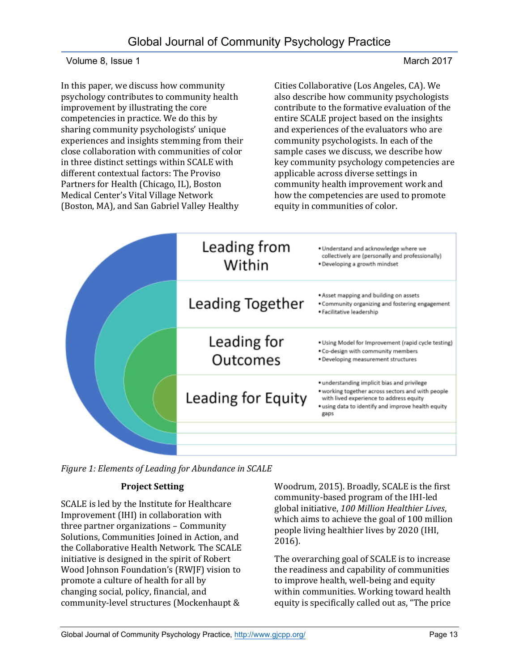In this paper, we discuss how community psychology contributes to community health improvement by illustrating the core competencies in practice. We do this by sharing community psychologists' unique experiences and insights stemming from their close collaboration with communities of color in three distinct settings within SCALE with different contextual factors: The Proviso Partners for Health (Chicago, IL), Boston Medical Center's Vital Village Network (Boston, MA), and San Gabriel Valley Healthy

Cities Collaborative (Los Angeles, CA). We also describe how community psychologists contribute to the formative evaluation of the entire SCALE project based on the insights and experiences of the evaluators who are community psychologists. In each of the sample cases we discuss, we describe how key community psychology competencies are applicable across diverse settings in community health improvement work and how the competencies are used to promote equity in communities of color.



*Figure 1: Elements of Leading for Abundance in SCALE*

# **Project Setting**

SCALE is led by the Institute for Healthcare Improvement (IHI) in collaboration with three partner organizations – Community Solutions, Communities Joined in Action, and the Collaborative Health Network. The SCALE initiative is designed in the spirit of Robert Wood Johnson Foundation's (RWJF) vision to promote a culture of health for all by changing social, policy, financial, and community-level structures (Mockenhaupt &

Woodrum, 2015). Broadly, SCALE is the first community-based program of the IHI-led global initiative, *100 Million Healthier Lives*, which aims to achieve the goal of 100 million people living healthier lives by 2020 (IHI, 2016).

The overarching goal of SCALE is to increase the readiness and capability of communities to improve health, well-being and equity within communities. Working toward health equity is specifically called out as, "The price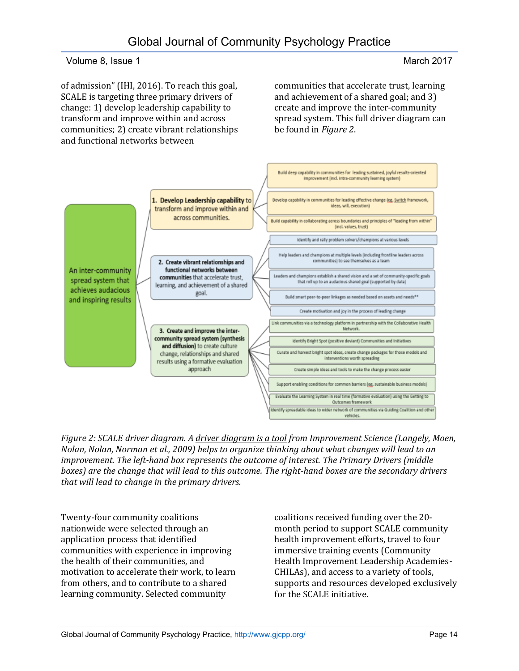of admission" (IHI, 2016). To reach this goal, SCALE is targeting three primary drivers of change: 1) develop leadership capability to transform and improve within and across communities; 2) create vibrant relationships and functional networks between

communities that accelerate trust, learning and achievement of a shared goal; and 3) create and improve the inter-community spread system. This full driver diagram can be found in *Figure 2*.



*Figure 2: SCALE driver diagram. [A driver diagram is a tool](http://www.ihi.org/education/ihiopenschool/resources/Pages/Activities/GoldmannDriver.aspx) from Improvement Science (Langely, Moen, Nolan, Nolan, Norman et al., 2009) helps to organize thinking about what changes will lead to an improvement. The left-hand box represents the outcome of interest. The Primary Drivers (middle boxes) are the change that will lead to this outcome. The right-hand boxes are the secondary drivers that will lead to change in the primary drivers.* 

Twenty-four community coalitions nationwide were selected through an application process that identified communities with experience in improving the health of their communities, and motivation to accelerate their work, to learn from others, and to contribute to a shared learning community. Selected community

coalitions received funding over the 20 month period to support SCALE community health improvement efforts, travel to four immersive training events (Community Health Improvement Leadership Academies-CHILAs), and access to a variety of tools, supports and resources developed exclusively for the SCALE initiative.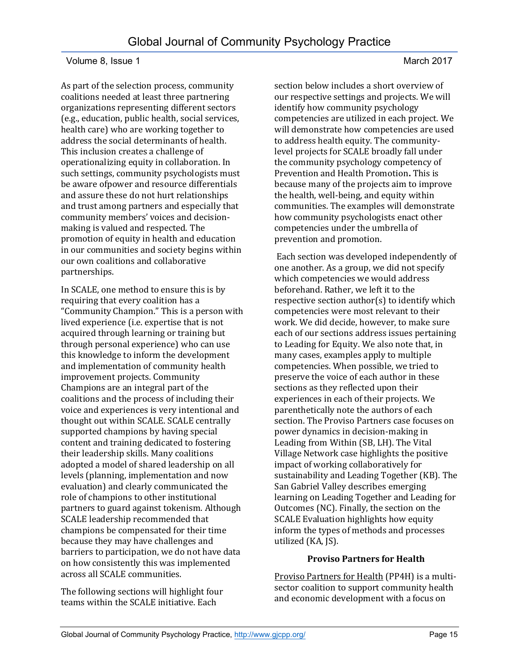As part of the selection process, community coalitions needed at least three partnering organizations representing different sectors (e.g., education, public health, social services, health care) who are working together to address the social determinants of health. This inclusion creates a challenge of operationalizing equity in collaboration. In such settings, community psychologists must be aware ofpower and resource differentials and assure these do not hurt relationships and trust among partners and especially that community members' voices and decisionmaking is valued and respected. The promotion of equity in health and education in our communities and society begins within our own coalitions and collaborative partnerships.

In SCALE, one method to ensure this is by requiring that every coalition has a "Community Champion." This is a person with lived experience (i.e. expertise that is not acquired through learning or training but through personal experience) who can use this knowledge to inform the development and implementation of community health improvement projects. Community Champions are an integral part of the coalitions and the process of including their voice and experiences is very intentional and thought out within SCALE. SCALE centrally supported champions by having special content and training dedicated to fostering their leadership skills. Many coalitions adopted a model of shared leadership on all levels (planning, implementation and now evaluation) and clearly communicated the role of champions to other institutional partners to guard against tokenism. Although SCALE leadership recommended that champions be compensated for their time because they may have challenges and barriers to participation, we do not have data on how consistently this was implemented across all SCALE communities.

The following sections will highlight four teams within the SCALE initiative. Each

section below includes a short overview of our respective settings and projects. We will identify how community psychology competencies are utilized in each project. We will demonstrate how competencies are used to address health equity. The communitylevel projects for SCALE broadly fall under the community psychology competency of Prevention and Health Promotion**.** This is because many of the projects aim to improve the health, well-being, and equity within communities. The examples will demonstrate how community psychologists enact other competencies under the umbrella of prevention and promotion.

Each section was developed independently of one another. As a group, we did not specify which competencies we would address beforehand. Rather, we left it to the respective section author(s) to identify which competencies were most relevant to their work. We did decide, however, to make sure each of our sections address issues pertaining to Leading for Equity. We also note that, in many cases, examples apply to multiple competencies. When possible, we tried to preserve the voice of each author in these sections as they reflected upon their experiences in each of their projects. We parenthetically note the authors of each section. The Proviso Partners case focuses on power dynamics in decision-making in Leading from Within (SB, LH). The Vital Village Network case highlights the positive impact of working collaboratively for sustainability and Leading Together (KB). The San Gabriel Valley describes emerging learning on Leading Together and Leading for Outcomes (NC). Finally, the section on the SCALE Evaluation highlights how equity inform the types of methods and processes utilized (KA, JS).

#### **Proviso Partners for Health**

[Proviso Partners for Health](file:///C:/Users/Jonathan/Dropbox/SCALE%20Formative%20Evaluation/Research%20Article%20and%20Resources/provisopartners.com) (PP4H) is a multisector coalition to support community health and economic development with a focus on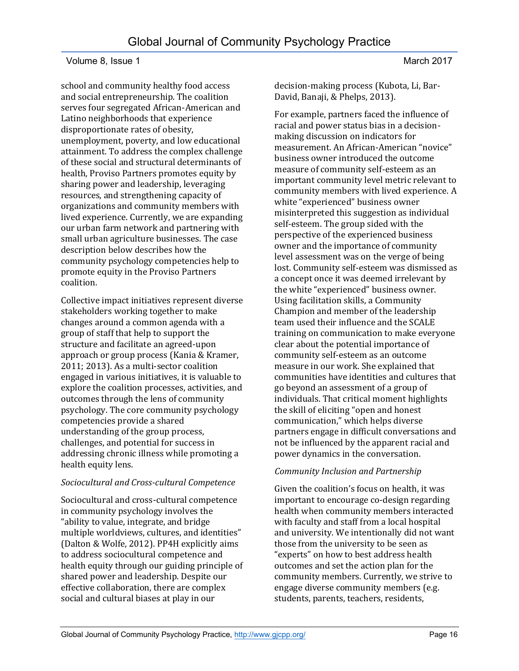school and community healthy food access and social entrepreneurship. The coalition serves four segregated African-American and Latino neighborhoods that experience disproportionate rates of obesity, unemployment, poverty, and low educational attainment. To address the complex challenge of these social and structural determinants of health, Proviso Partners promotes equity by sharing power and leadership, leveraging resources, and strengthening capacity of organizations and community members with lived experience. Currently, we are expanding our urban farm network and partnering with small urban agriculture businesses. The case description below describes how the community psychology competencies help to promote equity in the Proviso Partners coalition.

Collective impact initiatives represent diverse stakeholders working together to make changes around a common agenda with a group of staff that help to support the structure and facilitate an agreed-upon approach or group process (Kania & Kramer, 2011; 2013). As a multi-sector coalition engaged in various initiatives, it is valuable to explore the coalition processes, activities, and outcomes through the lens of community psychology. The core community psychology competencies provide a shared understanding of the group process, challenges, and potential for success in addressing chronic illness while promoting a health equity lens.

# *Sociocultural and Cross-cultural Competence*

Sociocultural and cross-cultural competence in community psychology involves the "ability to value, integrate, and bridge multiple worldviews, cultures, and identities" (Dalton & Wolfe, 2012). PP4H explicitly aims to address sociocultural competence and health equity through our guiding principle of shared power and leadership. Despite our effective collaboration, there are complex social and cultural biases at play in our

decision-making process (Kubota, Li, Bar-David, Banaji, & Phelps, 2013).

For example, partners faced the influence of racial and power status bias in a decisionmaking discussion on indicators for measurement. An African-American "novice" business owner introduced the outcome measure of community self-esteem as an important community level metric relevant to community members with lived experience. A white "experienced" business owner misinterpreted this suggestion as individual self-esteem. The group sided with the perspective of the experienced business owner and the importance of community level assessment was on the verge of being lost. Community self-esteem was dismissed as a concept once it was deemed irrelevant by the white "experienced" business owner. Using facilitation skills, a Community Champion and member of the leadership team used their influence and the SCALE training on communication to make everyone clear about the potential importance of community self-esteem as an outcome measure in our work. She explained that communities have identities and cultures that go beyond an assessment of a group of individuals. That critical moment highlights the skill of eliciting "open and honest communication," which helps diverse partners engage in difficult conversations and not be influenced by the apparent racial and power dynamics in the conversation.

# *Community Inclusion and Partnership*

Given the coalition's focus on health, it was important to encourage co-design regarding health when community members interacted with faculty and staff from a local hospital and university. We intentionally did not want those from the university to be seen as "experts" on how to best address health outcomes and set the action plan for the community members. Currently, we strive to engage diverse community members (e.g. students, parents, teachers, residents,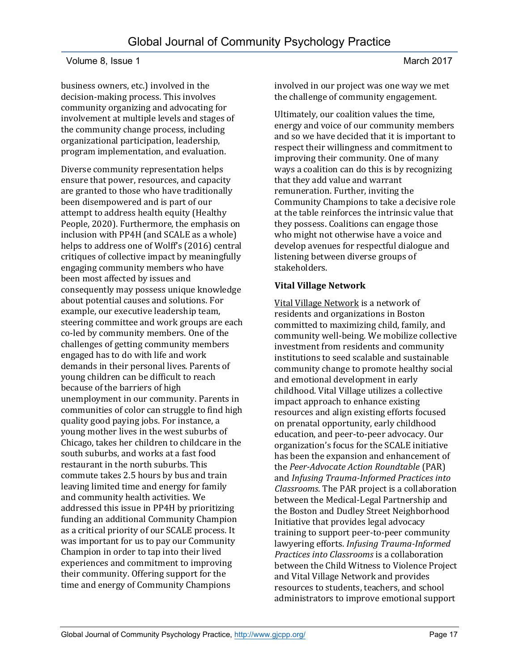business owners, etc.) involved in the decision-making process. This involves community organizing and advocating for involvement at multiple levels and stages of the community change process, including organizational participation, leadership, program implementation, and evaluation.

Diverse community representation helps ensure that power, resources, and capacity are granted to those who have traditionally been disempowered and is part of our attempt to address health equity (Healthy People, 2020). Furthermore, the emphasis on inclusion with PP4H (and SCALE as a whole) helps to address one of Wolff's (2016) central critiques of collective impact by meaningfully engaging community members who have been most affected by issues and consequently may possess unique knowledge about potential causes and solutions. For example, our executive leadership team, steering committee and work groups are each co-led by community members. One of the challenges of getting community members engaged has to do with life and work demands in their personal lives. Parents of young children can be difficult to reach because of the barriers of high unemployment in our community. Parents in communities of color can struggle to find high quality good paying jobs. For instance, a young mother lives in the west suburbs of Chicago, takes her children to childcare in the south suburbs, and works at a fast food restaurant in the north suburbs. This commute takes 2.5 hours by bus and train leaving limited time and energy for family and community health activities. We addressed this issue in PP4H by prioritizing funding an additional Community Champion as a critical priority of our SCALE process. It was important for us to pay our Community Champion in order to tap into their lived experiences and commitment to improving their community. Offering support for the time and energy of Community Champions

involved in our project was one way we met the challenge of community engagement.

Ultimately, our coalition values the time, energy and voice of our community members and so we have decided that it is important to respect their willingness and commitment to improving their community. One of many ways a coalition can do this is by recognizing that they add value and warrant remuneration. Further, inviting the Community Champions to take a decisive role at the table reinforces the intrinsic value that they possess. Coalitions can engage those who might not otherwise have a voice and develop avenues for respectful dialogue and listening between diverse groups of stakeholders.

# **Vital Village Network**

[Vital Village Network](http://www.vitalvillage.org/) is a network of residents and organizations in Boston committed to maximizing child, family, and community well-being. We mobilize collective investment from residents and community institutions to seed scalable and sustainable community change to promote healthy social and emotional development in early childhood. Vital Village utilizes a collective impact approach to enhance existing resources and align existing efforts focused on prenatal opportunity, early childhood education, and peer-to-peer advocacy. Our organization's focus for the SCALE initiative has been the expansion and enhancement of the *Peer-Advocate Action Roundtable* (PAR) and *Infusing Trauma-Informed Practices into Classrooms*. The PAR project is a collaboration between the Medical-Legal Partnership and the Boston and Dudley Street Neighborhood Initiative that provides legal advocacy training to support peer-to-peer community lawyering efforts. *Infusing Trauma-Informed Practices into Classrooms* is a collaboration between the Child Witness to Violence Project and Vital Village Network and provides resources to students, teachers, and school administrators to improve emotional support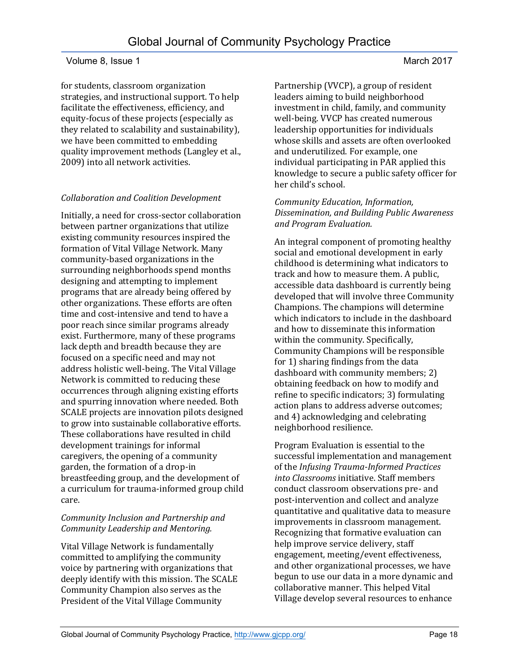for students, classroom organization strategies, and instructional support. To help facilitate the effectiveness, efficiency, and equity-focus of these projects (especially as they related to scalability and sustainability), we have been committed to embedding quality improvement methods (Langley et al., 2009) into all network activities.

#### *Collaboration and Coalition Development*

Initially, a need for cross-sector collaboration between partner organizations that utilize existing community resources inspired the formation of Vital Village Network. Many community-based organizations in the surrounding neighborhoods spend months designing and attempting to implement programs that are already being offered by other organizations. These efforts are often time and cost-intensive and tend to have a poor reach since similar programs already exist. Furthermore, many of these programs lack depth and breadth because they are focused on a specific need and may not address holistic well-being. The Vital Village Network is committed to reducing these occurrences through aligning existing efforts and spurring innovation where needed. Both SCALE projects are innovation pilots designed to grow into sustainable collaborative efforts. These collaborations have resulted in child development trainings for informal caregivers, the opening of a community garden, the formation of a drop-in breastfeeding group, and the development of a curriculum for trauma-informed group child care.

#### *Community Inclusion and Partnership and Community Leadership and Mentoring.*

Vital Village Network is fundamentally committed to amplifying the community voice by partnering with organizations that deeply identify with this mission. The SCALE Community Champion also serves as the President of the Vital Village Community

Partnership (VVCP), a group of resident leaders aiming to build neighborhood investment in child, family, and community well-being. VVCP has created numerous leadership opportunities for individuals whose skills and assets are often overlooked and underutilized. For example, one individual participating in PAR applied this knowledge to secure a public safety officer for her child's school.

#### *Community Education, Information, Dissemination, and Building Public Awareness and Program Evaluation.*

An integral component of promoting healthy social and emotional development in early childhood is determining what indicators to track and how to measure them. A public, accessible data dashboard is currently being developed that will involve three Community Champions. The champions will determine which indicators to include in the dashboard and how to disseminate this information within the community. Specifically, Community Champions will be responsible for 1) sharing findings from the data dashboard with community members; 2) obtaining feedback on how to modify and refine to specific indicators; 3) formulating action plans to address adverse outcomes; and 4) acknowledging and celebrating neighborhood resilience.

Program Evaluation is essential to the successful implementation and management of the *Infusing Trauma-Informed Practices into Classrooms* initiative. Staff members conduct classroom observations pre- and post-intervention and collect and analyze quantitative and qualitative data to measure improvements in classroom management. Recognizing that formative evaluation can help improve service delivery, staff engagement, meeting/event effectiveness, and other organizational processes, we have begun to use our data in a more dynamic and collaborative manner. This helped Vital Village develop several resources to enhance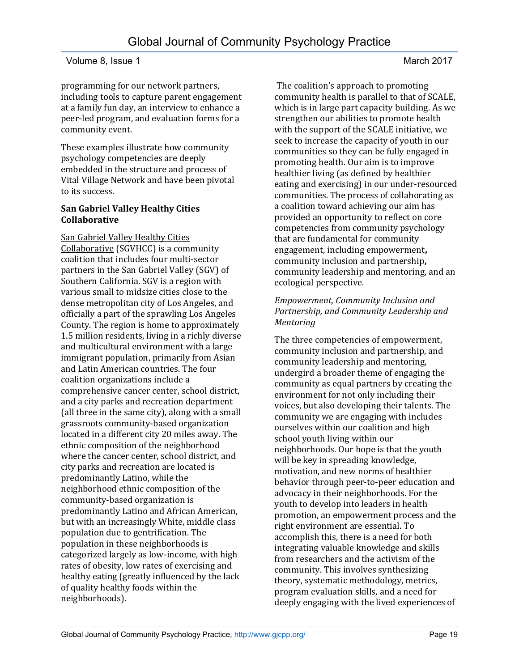programming for our network partners, including tools to capture parent engagement at a family fun day, an interview to enhance a peer-led program, and evaluation forms for a community event.

These examples illustrate how community psychology competencies are deeply embedded in the structure and process of Vital Village Network and have been pivotal to its success.

### **San Gabriel Valley Healthy Cities Collaborative**

[San Gabriel Valley Healthy Cities](http://healthdoers.bravenew.com/c/100-million-healthier-lives/i/san-gabriel-valley-healthy-cities-collaborative-chila2/)  [Collaborative](http://healthdoers.bravenew.com/c/100-million-healthier-lives/i/san-gabriel-valley-healthy-cities-collaborative-chila2/) (SGVHCC) is a community coalition that includes four multi-sector partners in the San Gabriel Valley (SGV) of Southern California. SGV is a region with various small to midsize cities close to the dense metropolitan city of Los Angeles, and officially a part of the sprawling Los Angeles County. The region is home to approximately 1.5 million residents, living in a richly diverse and multicultural environment with a large immigrant population, primarily from Asian and Latin American countries. The four coalition organizations include a comprehensive cancer center, school district, and a city parks and recreation department (all three in the same city), along with a small grassroots community-based organization located in a different city 20 miles away. The ethnic composition of the neighborhood where the cancer center, school district, and city parks and recreation are located is predominantly Latino, while the neighborhood ethnic composition of the community-based organization is predominantly Latino and African American, but with an increasingly White, middle class population due to gentrification. The population in these neighborhoods is categorized largely as low-income, with high rates of obesity, low rates of exercising and healthy eating (greatly influenced by the lack of quality healthy foods within the neighborhoods).

The coalition's approach to promoting community health is parallel to that of SCALE, which is in large part capacity building. As we strengthen our abilities to promote health with the support of the SCALE initiative, we seek to increase the capacity of youth in our communities so they can be fully engaged in promoting health. Our aim is to improve healthier living (as defined by healthier eating and exercising) in our under-resourced communities. The process of collaborating as a coalition toward achieving our aim has provided an opportunity to reflect on core competencies from community psychology that are fundamental for community engagement, including empowerment**,**  community inclusion and partnership**,**  community leadership and mentoring, and an ecological perspective.

#### *Empowerment, Community Inclusion and Partnership, and Community Leadership and Mentoring*

The three competencies of empowerment, community inclusion and partnership, and community leadership and mentoring, undergird a broader theme of engaging the community as equal partners by creating the environment for not only including their voices, but also developing their talents. The community we are engaging with includes ourselves within our coalition and high school youth living within our neighborhoods. Our hope is that the youth will be key in spreading knowledge, motivation, and new norms of healthier behavior through peer-to-peer education and advocacy in their neighborhoods. For the youth to develop into leaders in health promotion, an empowerment process and the right environment are essential. To accomplish this, there is a need for both integrating valuable knowledge and skills from researchers and the activism of the community. This involves synthesizing theory, systematic methodology, metrics, program evaluation skills, and a need for deeply engaging with the lived experiences of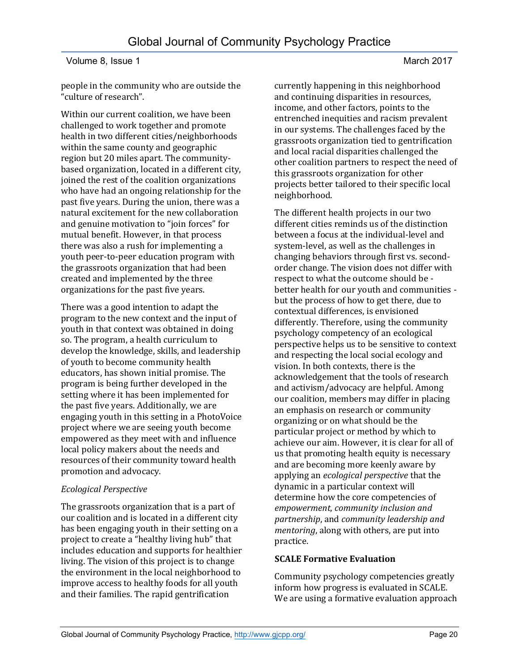people in the community who are outside the "culture of research".

Within our current coalition, we have been challenged to work together and promote health in two different cities/neighborhoods within the same county and geographic region but 20 miles apart. The communitybased organization, located in a different city, joined the rest of the coalition organizations who have had an ongoing relationship for the past five years. During the union, there was a natural excitement for the new collaboration and genuine motivation to "join forces" for mutual benefit. However, in that process there was also a rush for implementing a youth peer-to-peer education program with the grassroots organization that had been created and implemented by the three organizations for the past five years.

There was a good intention to adapt the program to the new context and the input of youth in that context was obtained in doing so. The program, a health curriculum to develop the knowledge, skills, and leadership of youth to become community health educators, has shown initial promise. The program is being further developed in the setting where it has been implemented for the past five years. Additionally, we are engaging youth in this setting in a PhotoVoice project where we are seeing youth become empowered as they meet with and influence local policy makers about the needs and resources of their community toward health promotion and advocacy.

# *Ecological Perspective*

The grassroots organization that is a part of our coalition and is located in a different city has been engaging youth in their setting on a project to create a "healthy living hub" that includes education and supports for healthier living. The vision of this project is to change the environment in the local neighborhood to improve access to healthy foods for all youth and their families. The rapid gentrification

currently happening in this neighborhood and continuing disparities in resources, income, and other factors, points to the entrenched inequities and racism prevalent in our systems. The challenges faced by the grassroots organization tied to gentrification and local racial disparities challenged the other coalition partners to respect the need of this grassroots organization for other projects better tailored to their specific local neighborhood.

The different health projects in our two different cities reminds us of the distinction between a focus at the individual-level and system-level, as well as the challenges in changing behaviors through first vs. secondorder change. The vision does not differ with respect to what the outcome should be better health for our youth and communities but the process of how to get there, due to contextual differences, is envisioned differently. Therefore, using the community psychology competency of an ecological perspective helps us to be sensitive to context and respecting the local social ecology and vision. In both contexts, there is the acknowledgement that the tools of research and activism/advocacy are helpful. Among our coalition, members may differ in placing an emphasis on research or community organizing or on what should be the particular project or method by which to achieve our aim. However, it is clear for all of us that promoting health equity is necessary and are becoming more keenly aware by applying an *ecological perspective* that the dynamic in a particular context will determine how the core competencies of *empowerment*, *community inclusion and partnership*, and *community leadership and mentoring*, along with others, are put into practice.

# **SCALE Formative Evaluation**

Community psychology competencies greatly inform how progress is evaluated in SCALE. We are using a formative evaluation approach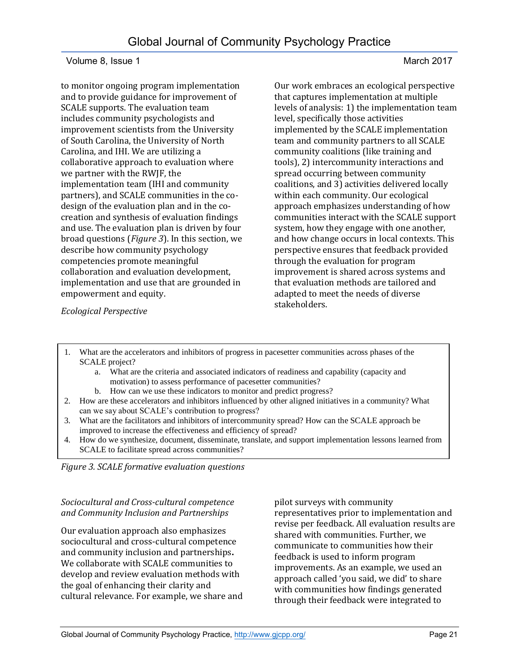to monitor ongoing program implementation and to provide guidance for improvement of SCALE supports. The evaluation team includes community psychologists and improvement scientists from the University of South Carolina, the University of North Carolina, and IHI. We are utilizing a collaborative approach to evaluation where we partner with the RWJF, the implementation team (IHI and community partners), and SCALE communities in the codesign of the evaluation plan and in the cocreation and synthesis of evaluation findings and use. The evaluation plan is driven by four broad questions (*Figure 3*). In this section, we describe how community psychology competencies promote meaningful collaboration and evaluation development, implementation and use that are grounded in empowerment and equity.

Our work embraces an ecological perspective that captures implementation at multiple levels of analysis: 1) the implementation team level, specifically those activities implemented by the SCALE implementation team and community partners to all SCALE community coalitions (like training and tools), 2) intercommunity interactions and spread occurring between community coalitions, and 3) activities delivered locally within each community. Our ecological approach emphasizes understanding of how communities interact with the SCALE support system, how they engage with one another, and how change occurs in local contexts. This perspective ensures that feedback provided through the evaluation for program improvement is shared across systems and that evaluation methods are tailored and adapted to meet the needs of diverse stakeholders.

*Ecological Perspective*

- 1. What are the accelerators and inhibitors of progress in pacesetter communities across phases of the SCALE project?
	- a. What are the criteria and associated indicators of readiness and capability (capacity and motivation) to assess performance of pacesetter communities?
	- b. How can we use these indicators to monitor and predict progress?
- 2. How are these accelerators and inhibitors influenced by other aligned initiatives in a community? What can we say about SCALE's contribution to progress?
- 3. What are the facilitators and inhibitors of intercommunity spread? How can the SCALE approach be improved to increase the effectiveness and efficiency of spread?
- 4. How do we synthesize, document, disseminate, translate, and support implementation lessons learned from SCALE to facilitate spread across communities?

*Figure 3. SCALE formative evaluation questions*

#### *Sociocultural and Cross-cultural competence and Community Inclusion and Partnerships*

Our evaluation approach also emphasizes sociocultural and cross-cultural competence and community inclusion and partnerships**.** We collaborate with SCALE communities to develop and review evaluation methods with the goal of enhancing their clarity and cultural relevance. For example, we share and pilot surveys with community representatives prior to implementation and revise per feedback. All evaluation results are shared with communities. Further, we communicate to communities how their feedback is used to inform program improvements. As an example, we used an approach called 'you said, we did' to share with communities how findings generated through their feedback were integrated to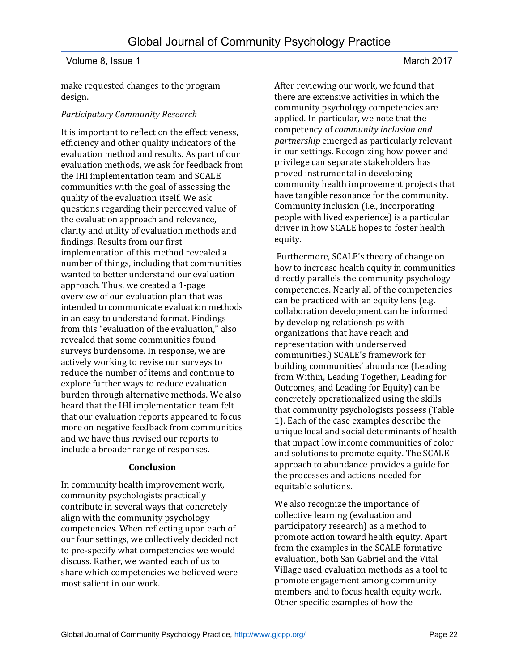Global Journal of Community Psychology Practice

make requested changes to the program design.

#### *Participatory Community Research*

It is important to reflect on the effectiveness, efficiency and other quality indicators of the evaluation method and results. As part of our evaluation methods, we ask for feedback from the IHI implementation team and SCALE communities with the goal of assessing the quality of the evaluation itself. We ask questions regarding their perceived value of the evaluation approach and relevance, clarity and utility of evaluation methods and findings. Results from our first implementation of this method revealed a number of things, including that communities wanted to better understand our evaluation approach. Thus, we created a 1-page overview of our evaluation plan that was intended to communicate evaluation methods in an easy to understand format. Findings from this "evaluation of the evaluation," also revealed that some communities found surveys burdensome. In response, we are actively working to revise our surveys to reduce the number of items and continue to explore further ways to reduce evaluation burden through alternative methods. We also heard that the IHI implementation team felt that our evaluation reports appeared to focus more on negative feedback from communities and we have thus revised our reports to include a broader range of responses.

#### **Conclusion**

In community health improvement work, community psychologists practically contribute in several ways that concretely align with the community psychology competencies. When reflecting upon each of our four settings, we collectively decided not to pre-specify what competencies we would discuss. Rather, we wanted each of us to share which competencies we believed were most salient in our work.

After reviewing our work, we found that there are extensive activities in which the community psychology competencies are applied. In particular, we note that the competency of *community inclusion and partnership* emerged as particularly relevant in our settings. Recognizing how power and privilege can separate stakeholders has proved instrumental in developing community health improvement projects that have tangible resonance for the community. Community inclusion (i.e., incorporating people with lived experience) is a particular driver in how SCALE hopes to foster health equity.

Furthermore, SCALE's theory of change on how to increase health equity in communities directly parallels the community psychology competencies. Nearly all of the competencies can be practiced with an equity lens (e.g. collaboration development can be informed by developing relationships with organizations that have reach and representation with underserved communities.) SCALE's framework for building communities' abundance (Leading from Within, Leading Together, Leading for Outcomes, and Leading for Equity) can be concretely operationalized using the skills that community psychologists possess (Table 1). Each of the case examples describe the unique local and social determinants of health that impact low income communities of color and solutions to promote equity. The SCALE approach to abundance provides a guide for the processes and actions needed for equitable solutions.

We also recognize the importance of collective learning (evaluation and participatory research) as a method to promote action toward health equity. Apart from the examples in the SCALE formative evaluation, both San Gabriel and the Vital Village used evaluation methods as a tool to promote engagement among community members and to focus health equity work. Other specific examples of how the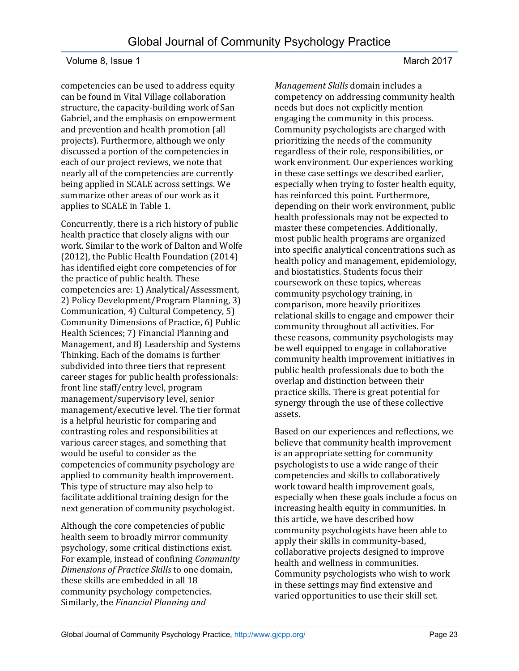competencies can be used to address equity can be found in Vital Village collaboration structure, the capacity-building work of San Gabriel, and the emphasis on empowerment and prevention and health promotion (all projects). Furthermore, although we only discussed a portion of the competencies in each of our project reviews, we note that nearly all of the competencies are currently being applied in SCALE across settings. We summarize other areas of our work as it applies to SCALE in Table 1.

Concurrently, there is a rich history of public health practice that closely aligns with our work. Similar to the work of Dalton and Wolfe (2012), the Public Health Foundation (2014) has identified eight core competencies of for the practice of public health. These competencies are: 1) Analytical/Assessment, 2) Policy Development/Program Planning, 3) Communication, 4) Cultural Competency, 5) Community Dimensions of Practice, 6) Public Health Sciences; 7) Financial Planning and Management, and 8) Leadership and Systems Thinking. Each of the domains is further subdivided into three tiers that represent career stages for public health professionals: front line staff/entry level, program management/supervisory level, senior management/executive level. The tier format is a helpful heuristic for comparing and contrasting roles and responsibilities at various career stages, and something that would be useful to consider as the competencies of community psychology are applied to community health improvement. This type of structure may also help to facilitate additional training design for the next generation of community psychologist.

Although the core competencies of public health seem to broadly mirror community psychology, some critical distinctions exist. For example, instead of confining *Community Dimensions of Practice Skills* to one domain, these skills are embedded in all 18 community psychology competencies. Similarly, the *Financial Planning and* 

*Management Skills* domain includes a competency on addressing community health needs but does not explicitly mention engaging the community in this process. Community psychologists are charged with prioritizing the needs of the community regardless of their role, responsibilities, or work environment. Our experiences working in these case settings we described earlier, especially when trying to foster health equity, has reinforced this point. Furthermore, depending on their work environment, public health professionals may not be expected to master these competencies. Additionally, most public health programs are organized into specific analytical concentrations such as health policy and management, epidemiology, and biostatistics. Students focus their coursework on these topics, whereas community psychology training, in comparison, more heavily prioritizes relational skills to engage and empower their community throughout all activities. For these reasons, community psychologists may be well equipped to engage in collaborative community health improvement initiatives in public health professionals due to both the overlap and distinction between their practice skills. There is great potential for synergy through the use of these collective assets.

Based on our experiences and reflections, we believe that community health improvement is an appropriate setting for community psychologists to use a wide range of their competencies and skills to collaboratively work toward health improvement goals, especially when these goals include a focus on increasing health equity in communities. In this article, we have described how community psychologists have been able to apply their skills in community-based, collaborative projects designed to improve health and wellness in communities. Community psychologists who wish to work in these settings may find extensive and varied opportunities to use their skill set.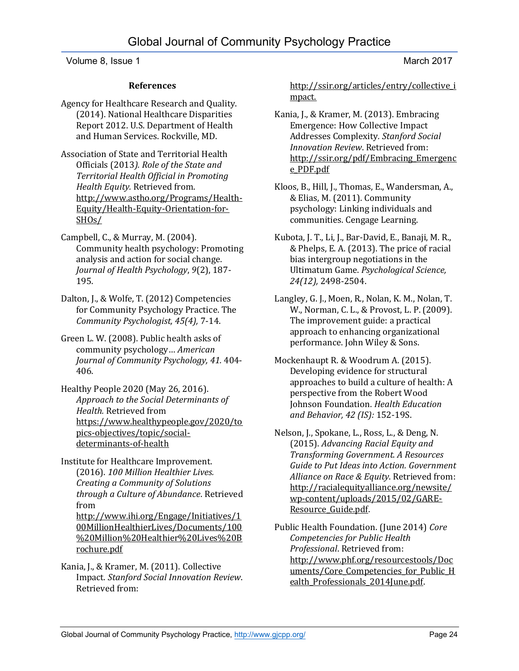#### **References**

Agency for Healthcare Research and Quality. (2014). National Healthcare Disparities Report 2012. U.S. Department of Health and Human Services. Rockville, MD.

Association of State and Territorial Health Officials (2013*). Role of the State and Territorial Health Official in Promoting Health Equity.* Retrieved from. [http://www.astho.org/Programs/Health-](http://www.astho.org/Programs/Health-Equity/Health-Equity-Orientation-for-SHOs/)[Equity/Health-Equity-Orientation-for-](http://www.astho.org/Programs/Health-Equity/Health-Equity-Orientation-for-SHOs/)[SHOs/](http://www.astho.org/Programs/Health-Equity/Health-Equity-Orientation-for-SHOs/)

Campbell, C., & Murray, M. (2004). Community health psychology: Promoting analysis and action for social change. *Journal of Health Psychology*, *9*(2), 187- 195.

Dalton, J., & Wolfe, T. (2012) Competencies for Community Psychology Practice. The *Community Psychologist, 45(4),* 7-14.

Green L. W. (2008). Public health asks of community psychology… *American Journal of Community Psychology, 41.* 404- 406.

Healthy People 2020 (May 26, 2016). *Approach to the Social Determinants of Health.* Retrieved from [https://www.healthypeople.gov/2020/to](https://www.healthypeople.gov/2020/topics-objectives/topic/social-determinants-of-health) [pics-objectives/topic/social](https://www.healthypeople.gov/2020/topics-objectives/topic/social-determinants-of-health)[determinants-of-health](https://www.healthypeople.gov/2020/topics-objectives/topic/social-determinants-of-health)

Institute for Healthcare Improvement. (2016). *100 Million Healthier Lives. Creating a Community of Solutions through a Culture of Abundance*. Retrieved from [http://www.ihi.org/Engage/Initiatives/1](http://www.ihi.org/Engage/Initiatives/100MillionHealthierLives/Documents/100%20Million%20Healthier%20Lives%20Brochure.pdf) [00MillionHealthierLives/Documents/100](http://www.ihi.org/Engage/Initiatives/100MillionHealthierLives/Documents/100%20Million%20Healthier%20Lives%20Brochure.pdf) [%20Million%20Healthier%20Lives%20B](http://www.ihi.org/Engage/Initiatives/100MillionHealthierLives/Documents/100%20Million%20Healthier%20Lives%20Brochure.pdf)

[rochure.pdf](http://www.ihi.org/Engage/Initiatives/100MillionHealthierLives/Documents/100%20Million%20Healthier%20Lives%20Brochure.pdf) Kania, J., & Kramer, M. (2011). Collective Impact. *Stanford Social Innovation Review*. Retrieved from:

[http://ssir.org/articles/entry/collective\\_i](http://ssir.org/articles/entry/collective_impact.) [mpact.](http://ssir.org/articles/entry/collective_impact.)

Kania, J., & Kramer, M. (2013). Embracing Emergence: How Collective Impact Addresses Complexity*. Stanford Social Innovation Review*. Retrieved from: [http://ssir.org/pdf/Embracing\\_Emergenc](http://ssir.org/pdf/Embracing_Emergence_PDF.pdf) [e\\_PDF.pdf](http://ssir.org/pdf/Embracing_Emergence_PDF.pdf)

Kloos, B., Hill, J., Thomas, E., Wandersman, A., & Elias, M. (2011). Community psychology: Linking individuals and communities. Cengage Learning.

Kubota, J. T., Li, J., Bar-David, E., Banaji, M. R., & Phelps, E. A. (2013). The price of racial bias intergroup negotiations in the Ultimatum Game. *Psychological Science, 24(12),* 2498-2504.

Langley, G. J., Moen, R., Nolan, K. M., Nolan, T. W., Norman, C. L., & Provost, L. P. (2009). The improvement guide: a practical approach to enhancing organizational performance. John Wiley & Sons.

Mockenhaupt R. & Woodrum A. (2015). Developing evidence for structural approaches to build a culture of health: A perspective from the Robert Wood Johnson Foundation. *Health Education and Behavior, 42 (IS):* 152-19S.

Nelson, J., Spokane, L., Ross, L., & Deng, N. (2015). *Advancing Racial Equity and Transforming Government. A Resources Guide to Put Ideas into Action. Government Alliance on Race & Equity*. Retrieved from: [http://racialequityalliance.org/newsite/](http://racialequityalliance.org/newsite/wp-content/uploads/2015/02/GARE-Resource_Guide.pdf) [wp-content/uploads/2015/02/GARE-](http://racialequityalliance.org/newsite/wp-content/uploads/2015/02/GARE-Resource_Guide.pdf)[Resource\\_Guide.pdf.](http://racialequityalliance.org/newsite/wp-content/uploads/2015/02/GARE-Resource_Guide.pdf) 

Public Health Foundation. (June 2014) *Core Competencies for Public Health Professional*. Retrieved from: [http://www.phf.org/resourcestools/Doc](http://www.phf.org/resourcestools/Documents/Core_Competencies_for_Public_Health_Professionals_2014June.pdf) uments/Core Competencies for Public H ealth Professionals 2014June.pdf.